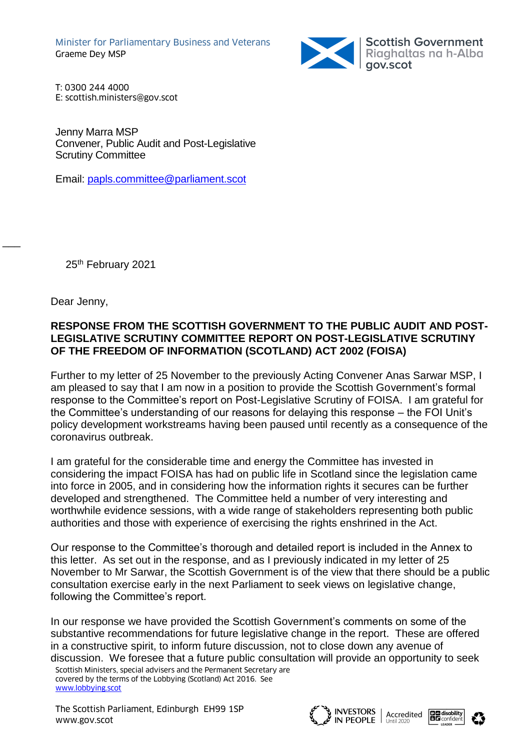

T: 0300 244 4000 E: scottish.ministers@gov.scot

Jenny Marra MSP Convener, Public Audit and Post-Legislative Scrutiny Committee

Email: [papls.committee@parliament.scot](mailto:papls.committee@parliament.scot)

25<sup>th</sup> February 2021

Dear Jenny,

 $\overline{\phantom{a}}$ 

# **RESPONSE FROM THE SCOTTISH GOVERNMENT TO THE PUBLIC AUDIT AND POST-LEGISLATIVE SCRUTINY COMMITTEE REPORT ON POST-LEGISLATIVE SCRUTINY OF THE FREEDOM OF INFORMATION (SCOTLAND) ACT 2002 (FOISA)**

Further to my letter of 25 November to the previously Acting Convener Anas Sarwar MSP, I am pleased to say that I am now in a position to provide the Scottish Government's formal response to the Committee's report on Post-Legislative Scrutiny of FOISA. I am grateful for the Committee's understanding of our reasons for delaying this response – the FOI Unit's policy development workstreams having been paused until recently as a consequence of the coronavirus outbreak.

I am grateful for the considerable time and energy the Committee has invested in considering the impact FOISA has had on public life in Scotland since the legislation came into force in 2005, and in considering how the information rights it secures can be further developed and strengthened. The Committee held a number of very interesting and worthwhile evidence sessions, with a wide range of stakeholders representing both public authorities and those with experience of exercising the rights enshrined in the Act.

Our response to the Committee's thorough and detailed report is included in the Annex to this letter. As set out in the response, and as I previously indicated in my letter of 25 November to Mr Sarwar, the Scottish Government is of the view that there should be a public consultation exercise early in the next Parliament to seek views on legislative change, following the Committee's report.

In our response we have provided the Scottish Government's comments on some of the substantive recommendations for future legislative change in the report. These are offered in a constructive spirit, to inform future discussion, not to close down any avenue of discussion. We foresee that a future public consultation will provide an opportunity to seek

Scottish Ministers, special advisers and the Permanent Secretary are covered by the terms of the Lobbying (Scotland) Act 2016. See [www.lobbying.scot](http://www.lobbying.scot/)



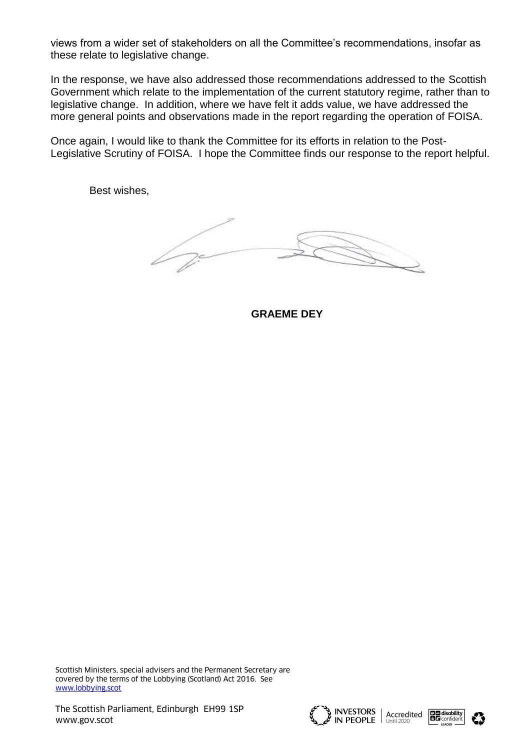views from a wider set of stakeholders on all the Committee's recommendations, insofar as these relate to legislative change.

In the response, we have also addressed those recommendations addressed to the Scottish Government which relate to the implementation of the current statutory regime, rather than to legislative change. In addition, where we have felt it adds value, we have addressed the more general points and observations made in the report regarding the operation of FOISA.

Once again, I would like to thank the Committee for its efforts in relation to the Post-Legislative Scrutiny of FOISA. I hope the Committee finds our response to the report helpful.

Best wishes,

Ì

**GRAEME DEY**





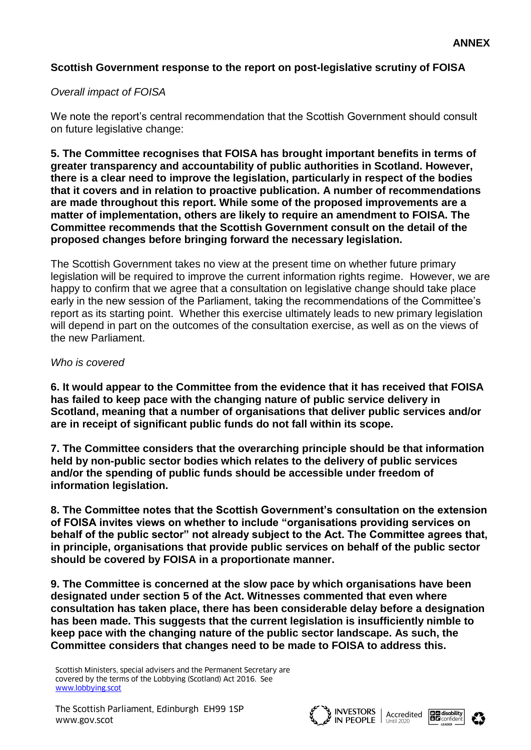# **Scottish Government response to the report on post-legislative scrutiny of FOISA**

# *Overall impact of FOISA*

We note the report's central recommendation that the Scottish Government should consult on future legislative change:

**5. The Committee recognises that FOISA has brought important benefits in terms of greater transparency and accountability of public authorities in Scotland. However, there is a clear need to improve the legislation, particularly in respect of the bodies that it covers and in relation to proactive publication. A number of recommendations are made throughout this report. While some of the proposed improvements are a matter of implementation, others are likely to require an amendment to FOISA. The Committee recommends that the Scottish Government consult on the detail of the proposed changes before bringing forward the necessary legislation.**

The Scottish Government takes no view at the present time on whether future primary legislation will be required to improve the current information rights regime. However, we are happy to confirm that we agree that a consultation on legislative change should take place early in the new session of the Parliament, taking the recommendations of the Committee's report as its starting point. Whether this exercise ultimately leads to new primary legislation will depend in part on the outcomes of the consultation exercise, as well as on the views of the new Parliament.

#### *Who is covered*

**6. It would appear to the Committee from the evidence that it has received that FOISA has failed to keep pace with the changing nature of public service delivery in Scotland, meaning that a number of organisations that deliver public services and/or are in receipt of significant public funds do not fall within its scope.**

**7. The Committee considers that the overarching principle should be that information held by non-public sector bodies which relates to the delivery of public services and/or the spending of public funds should be accessible under freedom of information legislation.**

**8. The Committee notes that the Scottish Government's consultation on the extension of FOISA invites views on whether to include "organisations providing services on behalf of the public sector" not already subject to the Act. The Committee agrees that, in principle, organisations that provide public services on behalf of the public sector should be covered by FOISA in a proportionate manner.**

**9. The Committee is concerned at the slow pace by which organisations have been designated under section 5 of the Act. Witnesses commented that even where consultation has taken place, there has been considerable delay before a designation has been made. This suggests that the current legislation is insufficiently nimble to keep pace with the changing nature of the public sector landscape. As such, the Committee considers that changes need to be made to FOISA to address this.**





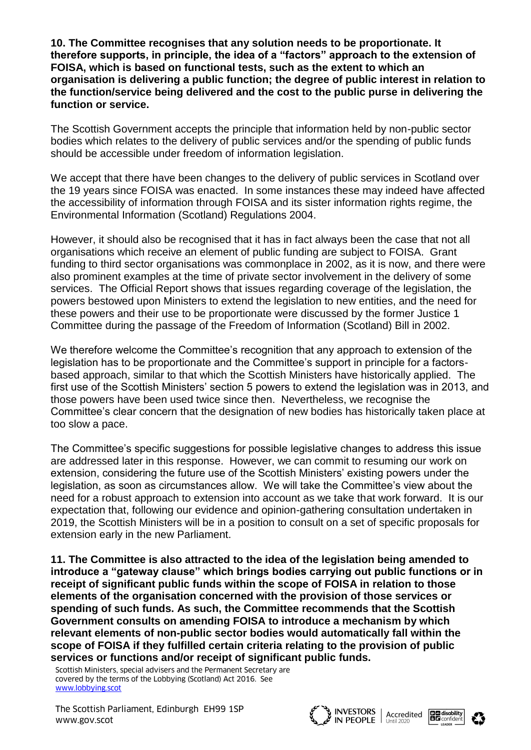**10. The Committee recognises that any solution needs to be proportionate. It therefore supports, in principle, the idea of a "factors" approach to the extension of FOISA, which is based on functional tests, such as the extent to which an organisation is delivering a public function; the degree of public interest in relation to the function/service being delivered and the cost to the public purse in delivering the function or service.**

The Scottish Government accepts the principle that information held by non-public sector bodies which relates to the delivery of public services and/or the spending of public funds should be accessible under freedom of information legislation.

We accept that there have been changes to the delivery of public services in Scotland over the 19 years since FOISA was enacted. In some instances these may indeed have affected the accessibility of information through FOISA and its sister information rights regime, the Environmental Information (Scotland) Regulations 2004.

However, it should also be recognised that it has in fact always been the case that not all organisations which receive an element of public funding are subject to FOISA. Grant funding to third sector organisations was commonplace in 2002, as it is now, and there were also prominent examples at the time of private sector involvement in the delivery of some services. The Official Report shows that issues regarding coverage of the legislation, the powers bestowed upon Ministers to extend the legislation to new entities, and the need for these powers and their use to be proportionate were discussed by the former Justice 1 Committee during the passage of the Freedom of Information (Scotland) Bill in 2002.

We therefore welcome the Committee's recognition that any approach to extension of the legislation has to be proportionate and the Committee's support in principle for a factorsbased approach, similar to that which the Scottish Ministers have historically applied. The first use of the Scottish Ministers' section 5 powers to extend the legislation was in 2013, and those powers have been used twice since then. Nevertheless, we recognise the Committee's clear concern that the designation of new bodies has historically taken place at too slow a pace.

The Committee's specific suggestions for possible legislative changes to address this issue are addressed later in this response. However, we can commit to resuming our work on extension, considering the future use of the Scottish Ministers' existing powers under the legislation, as soon as circumstances allow. We will take the Committee's view about the need for a robust approach to extension into account as we take that work forward. It is our expectation that, following our evidence and opinion-gathering consultation undertaken in 2019, the Scottish Ministers will be in a position to consult on a set of specific proposals for extension early in the new Parliament.

**11. The Committee is also attracted to the idea of the legislation being amended to introduce a "gateway clause" which brings bodies carrying out public functions or in receipt of significant public funds within the scope of FOISA in relation to those elements of the organisation concerned with the provision of those services or spending of such funds. As such, the Committee recommends that the Scottish Government consults on amending FOISA to introduce a mechanism by which relevant elements of non-public sector bodies would automatically fall within the scope of FOISA if they fulfilled certain criteria relating to the provision of public services or functions and/or receipt of significant public funds.**

Scottish Ministers, special advisers and the Permanent Secretary are covered by the terms of the Lobbying (Scotland) Act 2016. See [www.lobbying.scot](http://www.lobbying.scot/)





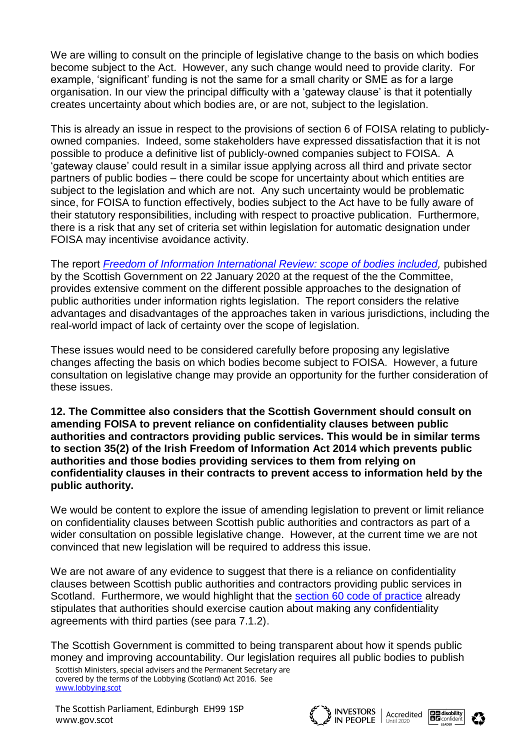We are willing to consult on the principle of legislative change to the basis on which bodies become subject to the Act. However, any such change would need to provide clarity. For example, 'significant' funding is not the same for a small charity or SME as for a large organisation. In our view the principal difficulty with a 'gateway clause' is that it potentially creates uncertainty about which bodies are, or are not, subject to the legislation.

This is already an issue in respect to the provisions of section 6 of FOISA relating to publiclyowned companies. Indeed, some stakeholders have expressed dissatisfaction that it is not possible to produce a definitive list of publicly-owned companies subject to FOISA.A 'gateway clause' could result in a similar issue applying across all third and private sector partners of public bodies – there could be scope for uncertainty about which entities are subject to the legislation and which are not. Any such uncertainty would be problematic since, for FOISA to function effectively, bodies subject to the Act have to be fully aware of their statutory responsibilities, including with respect to proactive publication. Furthermore, there is a risk that any set of criteria set within legislation for automatic designation under FOISA may incentivise avoidance activity.

The report *[Freedom of Information International Review: scope of bodies included,](https://www.gov.scot/publications/freedom-information-international-review-scope-bodies-included/)* pubished by the Scottish Government on 22 January 2020 at the request of the the Committee, provides extensive comment on the different possible approaches to the designation of public authorities under information rights legislation. The report considers the relative advantages and disadvantages of the approaches taken in various jurisdictions, including the real-world impact of lack of certainty over the scope of legislation.

These issues would need to be considered carefully before proposing any legislative changes affecting the basis on which bodies become subject to FOISA. However, a future consultation on legislative change may provide an opportunity for the further consideration of these issues.

**12. The Committee also considers that the Scottish Government should consult on amending FOISA to prevent reliance on confidentiality clauses between public authorities and contractors providing public services. This would be in similar terms to section 35(2) of the Irish Freedom of Information Act 2014 which prevents public authorities and those bodies providing services to them from relying on confidentiality clauses in their contracts to prevent access to information held by the public authority.**

We would be content to explore the issue of amending legislation to prevent or limit reliance on confidentiality clauses between Scottish public authorities and contractors as part of a wider consultation on possible legislative change. However, at the current time we are not convinced that new legislation will be required to address this issue.

We are not aware of any evidence to suggest that there is a reliance on confidentiality clauses between Scottish public authorities and contractors providing public services in Scotland. Furthermore, we would highlight that the [section 60 code of practice](https://www.gov.scot/binaries/content/documents/govscot/publications/advice-and-guidance/2016/12/foi-eir-section-60-code-of-practice/documents/foi-section-60-code-practice-pdf/foi-section-60-code-practice-pdf/govscot%3Adocument/FOI%2B-%2Bsection%2B60%2Bcode%2Bof%2Bpractice.pdf) already stipulates that authorities should exercise caution about making any confidentiality agreements with third parties (see para 7.1.2).

The Scottish Government is committed to being transparent about how it spends public money and improving accountability. Our legislation requires all public bodies to publish

Scottish Ministers, special advisers and the Permanent Secretary are covered by the terms of the Lobbying (Scotland) Act 2016. See [www.lobbying.scot](http://www.lobbying.scot/)



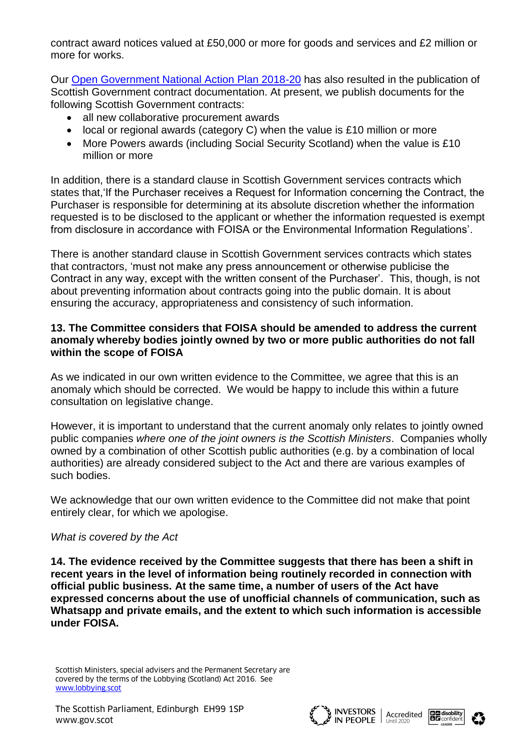contract award notices valued at £50,000 or more for goods and services and £2 million or more for works.

Our [Open Government National Action Plan 2018-20](https://www.gov.scot/publications/scotlands-open-government-action-plan-2018-20-detailed-commitments/pages/1/) has also resulted in the publication of Scottish Government contract documentation. At present, we publish documents for the following Scottish Government contracts:

- all new collaborative procurement awards
- local or regional awards (category C) when the value is £10 million or more
- More Powers awards (including Social Security Scotland) when the value is £10 million or more

In addition, there is a standard clause in Scottish Government services contracts which states that,'If the Purchaser receives a Request for Information concerning the Contract, the Purchaser is responsible for determining at its absolute discretion whether the information requested is to be disclosed to the applicant or whether the information requested is exempt from disclosure in accordance with FOISA or the Environmental Information Regulations'.

There is another standard clause in Scottish Government services contracts which states that contractors, 'must not make any press announcement or otherwise publicise the Contract in any way, except with the written consent of the Purchaser'. This, though, is not about preventing information about contracts going into the public domain. It is about ensuring the accuracy, appropriateness and consistency of such information.

#### **13. The Committee considers that FOISA should be amended to address the current anomaly whereby bodies jointly owned by two or more public authorities do not fall within the scope of FOISA**

As we indicated in our own written evidence to the Committee, we agree that this is an anomaly which should be corrected. We would be happy to include this within a future consultation on legislative change.

However, it is important to understand that the current anomaly only relates to jointly owned public companies *where one of the joint owners is the Scottish Ministers*.Companies wholly owned by a combination of other Scottish public authorities (e.g. by a combination of local authorities) are already considered subject to the Act and there are various examples of such bodies.

We acknowledge that our own written evidence to the Committee did not make that point entirely clear, for which we apologise.

# *What is covered by the Act*

**14. The evidence received by the Committee suggests that there has been a shift in recent years in the level of information being routinely recorded in connection with official public business. At the same time, a number of users of the Act have expressed concerns about the use of unofficial channels of communication, such as Whatsapp and private emails, and the extent to which such information is accessible under FOISA.**





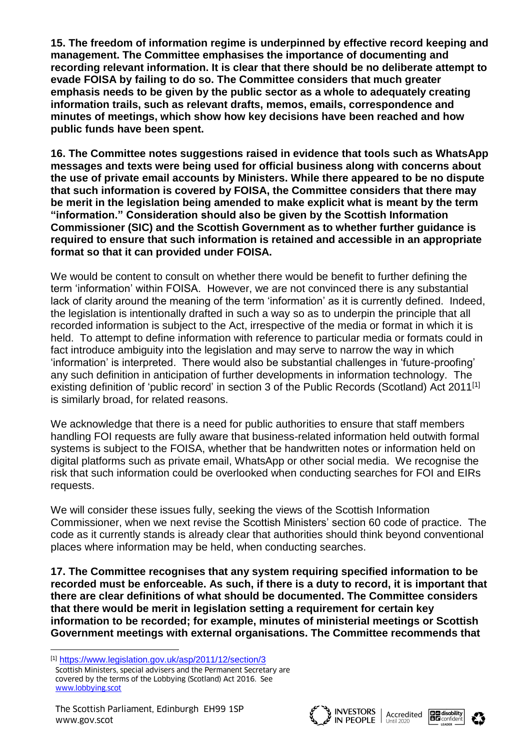**15. The freedom of information regime is underpinned by effective record keeping and management. The Committee emphasises the importance of documenting and recording relevant information. It is clear that there should be no deliberate attempt to evade FOISA by failing to do so. The Committee considers that much greater emphasis needs to be given by the public sector as a whole to adequately creating information trails, such as relevant drafts, memos, emails, correspondence and minutes of meetings, which show how key decisions have been reached and how public funds have been spent.** 

**16. The Committee notes suggestions raised in evidence that tools such as WhatsApp messages and texts were being used for official business along with concerns about the use of private email accounts by Ministers. While there appeared to be no dispute that such information is covered by FOISA, the Committee considers that there may be merit in the legislation being amended to make explicit what is meant by the term "information." Consideration should also be given by the Scottish Information Commissioner (SIC) and the Scottish Government as to whether further guidance is required to ensure that such information is retained and accessible in an appropriate format so that it can provided under FOISA.**

We would be content to consult on whether there would be benefit to further defining the term 'information' within FOISA. However, we are not convinced there is any substantial lack of clarity around the meaning of the term 'information' as it is currently defined. Indeed, the legislation is intentionally drafted in such a way so as to underpin the principle that all recorded information is subject to the Act, irrespective of the media or format in which it is held. To attempt to define information with reference to particular media or formats could in fact introduce ambiguity into the legislation and may serve to narrow the way in which 'information' is interpreted. There would also be substantial challenges in 'future-proofing' any such definition in anticipation of further developments in information technology. The existing definition of 'public record' in section 3 of the Public Records (Scotland) Act 2011<sup>[1]</sup> is similarly broad, for related reasons.

We acknowledge that there is a need for public authorities to ensure that staff members handling FOI requests are fully aware that business-related information held outwith formal systems is subject to the FOISA, whether that be handwritten notes or information held on digital platforms such as private email, WhatsApp or other social media. We recognise the risk that such information could be overlooked when conducting searches for FOI and EIRs requests.

We will consider these issues fully, seeking the views of the Scottish Information Commissioner, when we next revise the Scottish Ministers' section 60 code of practice. The code as it currently stands is already clear that authorities should think beyond conventional places where information may be held, when conducting searches.

**17. The Committee recognises that any system requiring specified information to be recorded must be enforceable. As such, if there is a duty to record, it is important that there are clear definitions of what should be documented. The Committee considers that there would be merit in legislation setting a requirement for certain key information to be recorded; for example, minutes of ministerial meetings or Scottish Government meetings with external organisations. The Committee recommends that** 

l







Scottish Ministers, special advisers and the Permanent Secretary are covered by the terms of the Lobbying (Scotland) Act 2016. See [www.lobbying.scot](http://www.lobbying.scot/) [1] <https://www.legislation.gov.uk/asp/2011/12/section/3>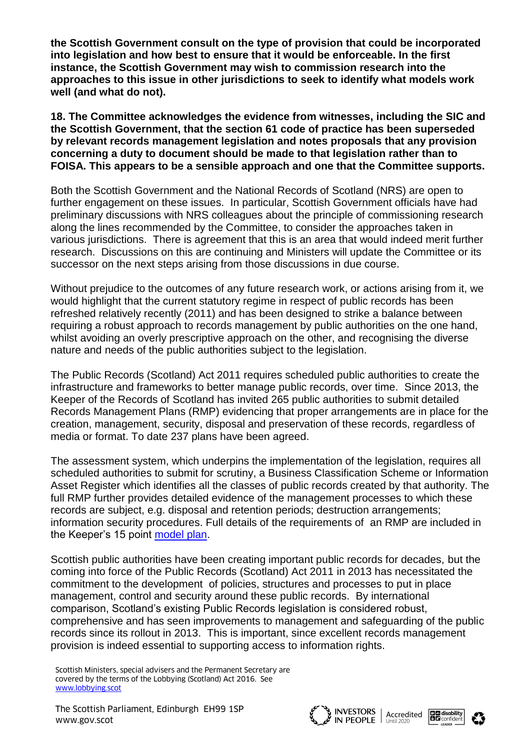**the Scottish Government consult on the type of provision that could be incorporated into legislation and how best to ensure that it would be enforceable. In the first instance, the Scottish Government may wish to commission research into the approaches to this issue in other jurisdictions to seek to identify what models work well (and what do not).**

**18. The Committee acknowledges the evidence from witnesses, including the SIC and the Scottish Government, that the section 61 code of practice has been superseded by relevant records management legislation and notes proposals that any provision concerning a duty to document should be made to that legislation rather than to FOISA. This appears to be a sensible approach and one that the Committee supports.**

Both the Scottish Government and the National Records of Scotland (NRS) are open to further engagement on these issues. In particular, Scottish Government officials have had preliminary discussions with NRS colleagues about the principle of commissioning research along the lines recommended by the Committee, to consider the approaches taken in various jurisdictions. There is agreement that this is an area that would indeed merit further research. Discussions on this are continuing and Ministers will update the Committee or its successor on the next steps arising from those discussions in due course.

Without prejudice to the outcomes of any future research work, or actions arising from it, we would highlight that the current statutory regime in respect of public records has been refreshed relatively recently (2011) and has been designed to strike a balance between requiring a robust approach to records management by public authorities on the one hand, whilst avoiding an overly prescriptive approach on the other, and recognising the diverse nature and needs of the public authorities subject to the legislation.

The Public Records (Scotland) Act 2011 requires scheduled public authorities to create the infrastructure and frameworks to better manage public records, over time. Since 2013, the Keeper of the Records of Scotland has invited 265 public authorities to submit detailed Records Management Plans (RMP) evidencing that proper arrangements are in place for the creation, management, security, disposal and preservation of these records, regardless of media or format. To date 237 plans have been agreed.

The assessment system, which underpins the implementation of the legislation, requires all scheduled authorities to submit for scrutiny, a Business Classification Scheme or Information Asset Register which identifies all the classes of public records created by that authority. The full RMP further provides detailed evidence of the management processes to which these records are subject, e.g. disposal and retention periods; destruction arrangements; information security procedures. Full details of the requirements of an RMP are included in the Keeper's 15 point [model plan.](https://www.nrscotland.gov.uk/record-keeping/public-records-scotland-act-2011/resources/model-records-management-plan)

Scottish public authorities have been creating important public records for decades, but the coming into force of the Public Records (Scotland) Act 2011 in 2013 has necessitated the commitment to the development of policies, structures and processes to put in place management, control and security around these public records. By international comparison, Scotland's existing Public Records legislation is considered robust, comprehensive and has seen improvements to management and safeguarding of the public records since its rollout in 2013. This is important, since excellent records management provision is indeed essential to supporting access to information rights.





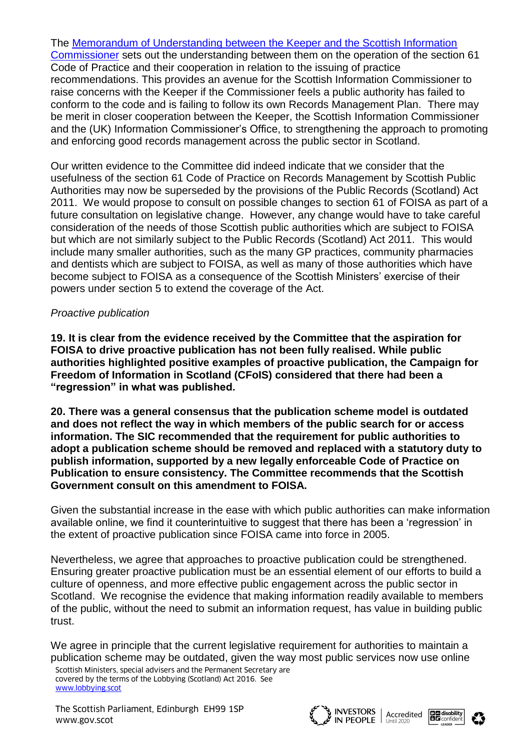The [Memorandum of Understanding between the Keeper and the Scottish Information](https://www.nrscotland.gov.uk/files/about-us/memorandum-of-understanding.pdf)  [Commissioner](https://www.nrscotland.gov.uk/files/about-us/memorandum-of-understanding.pdf) sets out the understanding between them on the operation of the section 61 Code of Practice and their cooperation in relation to the issuing of practice recommendations. This provides an avenue for the Scottish Information Commissioner to raise concerns with the Keeper if the Commissioner feels a public authority has failed to conform to the code and is failing to follow its own Records Management Plan. There may be merit in closer cooperation between the Keeper, the Scottish Information Commissioner and the (UK) Information Commissioner's Office, to strengthening the approach to promoting and enforcing good records management across the public sector in Scotland.

Our written evidence to the Committee did indeed indicate that we consider that the usefulness of the section 61 Code of Practice on Records Management by Scottish Public Authorities may now be superseded by the provisions of the Public Records (Scotland) Act 2011. We would propose to consult on possible changes to section 61 of FOISA as part of a future consultation on legislative change. However, any change would have to take careful consideration of the needs of those Scottish public authorities which are subject to FOISA but which are not similarly subject to the Public Records (Scotland) Act 2011. This would include many smaller authorities, such as the many GP practices, community pharmacies and dentists which are subject to FOISA, as well as many of those authorities which have become subject to FOISA as a consequence of the Scottish Ministers' exercise of their powers under section 5 to extend the coverage of the Act.

#### *Proactive publication*

**19. It is clear from the evidence received by the Committee that the aspiration for FOISA to drive proactive publication has not been fully realised. While public authorities highlighted positive examples of proactive publication, the Campaign for Freedom of Information in Scotland (CFoIS) considered that there had been a "regression" in what was published.**

**20. There was a general consensus that the publication scheme model is outdated and does not reflect the way in which members of the public search for or access information. The SIC recommended that the requirement for public authorities to adopt a publication scheme should be removed and replaced with a statutory duty to publish information, supported by a new legally enforceable Code of Practice on Publication to ensure consistency. The Committee recommends that the Scottish Government consult on this amendment to FOISA.**

Given the substantial increase in the ease with which public authorities can make information available online, we find it counterintuitive to suggest that there has been a 'regression' in the extent of proactive publication since FOISA came into force in 2005.

Nevertheless, we agree that approaches to proactive publication could be strengthened. Ensuring greater proactive publication must be an essential element of our efforts to build a culture of openness, and more effective public engagement across the public sector in Scotland. We recognise the evidence that making information readily available to members of the public, without the need to submit an information request, has value in building public trust.

We agree in principle that the current legislative requirement for authorities to maintain a publication scheme may be outdated, given the way most public services now use online



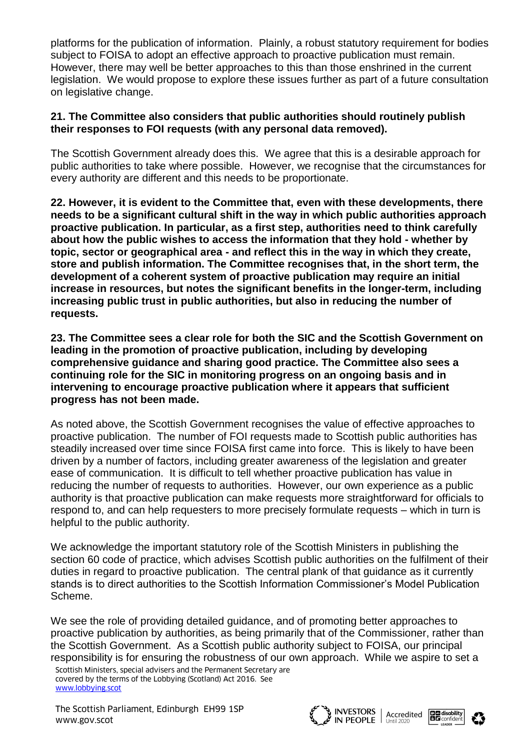platforms for the publication of information. Plainly, a robust statutory requirement for bodies subject to FOISA to adopt an effective approach to proactive publication must remain. However, there may well be better approaches to this than those enshrined in the current legislation. We would propose to explore these issues further as part of a future consultation on legislative change.

### **21. The Committee also considers that public authorities should routinely publish their responses to FOI requests (with any personal data removed).**

The Scottish Government already does this. We agree that this is a desirable approach for public authorities to take where possible. However, we recognise that the circumstances for every authority are different and this needs to be proportionate.

**22. However, it is evident to the Committee that, even with these developments, there needs to be a significant cultural shift in the way in which public authorities approach proactive publication. In particular, as a first step, authorities need to think carefully about how the public wishes to access the information that they hold - whether by topic, sector or geographical area - and reflect this in the way in which they create, store and publish information. The Committee recognises that, in the short term, the development of a coherent system of proactive publication may require an initial increase in resources, but notes the significant benefits in the longer-term, including increasing public trust in public authorities, but also in reducing the number of requests.**

**23. The Committee sees a clear role for both the SIC and the Scottish Government on leading in the promotion of proactive publication, including by developing comprehensive guidance and sharing good practice. The Committee also sees a continuing role for the SIC in monitoring progress on an ongoing basis and in intervening to encourage proactive publication where it appears that sufficient progress has not been made.**

As noted above, the Scottish Government recognises the value of effective approaches to proactive publication. The number of FOI requests made to Scottish public authorities has steadily increased over time since FOISA first came into force. This is likely to have been driven by a number of factors, including greater awareness of the legislation and greater ease of communication. It is difficult to tell whether proactive publication has value in reducing the number of requests to authorities. However, our own experience as a public authority is that proactive publication can make requests more straightforward for officials to respond to, and can help requesters to more precisely formulate requests – which in turn is helpful to the public authority.

We acknowledge the important statutory role of the Scottish Ministers in publishing the section 60 code of practice, which advises Scottish public authorities on the fulfilment of their duties in regard to proactive publication. The central plank of that guidance as it currently stands is to direct authorities to the Scottish Information Commissioner's Model Publication Scheme.

We see the role of providing detailed guidance, and of promoting better approaches to proactive publication by authorities, as being primarily that of the Commissioner, rather than the Scottish Government. As a Scottish public authority subject to FOISA, our principal responsibility is for ensuring the robustness of our own approach. While we aspire to set a

Scottish Ministers, special advisers and the Permanent Secretary are covered by the terms of the Lobbying (Scotland) Act 2016. See [www.lobbying.scot](http://www.lobbying.scot/)

The Scottish Parliament, Edinburgh EH99 1SP WESTORS Accredited **BE disability**<br>WWW.gov.scot **BE** confident **CONTRACT WAS Avery Accredited** BE confident



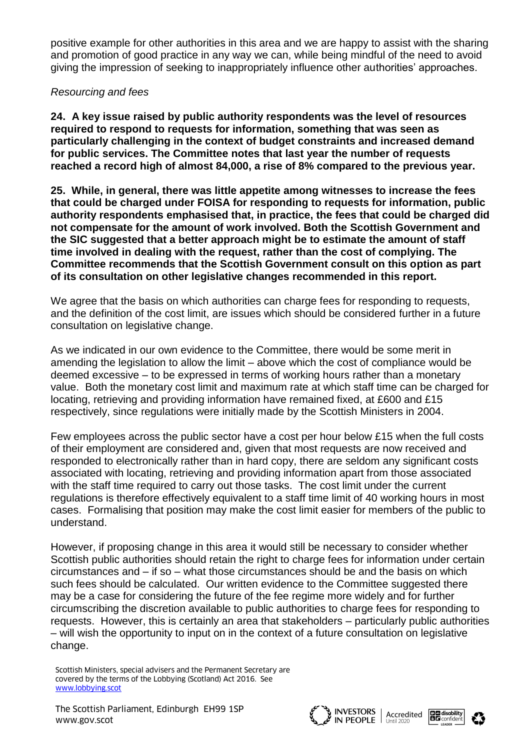positive example for other authorities in this area and we are happy to assist with the sharing and promotion of good practice in any way we can, while being mindful of the need to avoid giving the impression of seeking to inappropriately influence other authorities' approaches.

## *Resourcing and fees*

**24. A key issue raised by public authority respondents was the level of resources required to respond to requests for information, something that was seen as particularly challenging in the context of budget constraints and increased demand for public services. The Committee notes that last year the number of requests reached a record high of almost 84,000, a rise of 8% compared to the previous year.**

**25. While, in general, there was little appetite among witnesses to increase the fees that could be charged under FOISA for responding to requests for information, public authority respondents emphasised that, in practice, the fees that could be charged did not compensate for the amount of work involved. Both the Scottish Government and the SIC suggested that a better approach might be to estimate the amount of staff time involved in dealing with the request, rather than the cost of complying. The Committee recommends that the Scottish Government consult on this option as part of its consultation on other legislative changes recommended in this report.**

We agree that the basis on which authorities can charge fees for responding to requests, and the definition of the cost limit, are issues which should be considered further in a future consultation on legislative change.

As we indicated in our own evidence to the Committee, there would be some merit in amending the legislation to allow the limit – above which the cost of compliance would be deemed excessive – to be expressed in terms of working hours rather than a monetary value. Both the monetary cost limit and maximum rate at which staff time can be charged for locating, retrieving and providing information have remained fixed, at £600 and £15 respectively, since regulations were initially made by the Scottish Ministers in 2004.

Few employees across the public sector have a cost per hour below £15 when the full costs of their employment are considered and, given that most requests are now received and responded to electronically rather than in hard copy, there are seldom any significant costs associated with locating, retrieving and providing information apart from those associated with the staff time required to carry out those tasks. The cost limit under the current regulations is therefore effectively equivalent to a staff time limit of 40 working hours in most cases. Formalising that position may make the cost limit easier for members of the public to understand.

However, if proposing change in this area it would still be necessary to consider whether Scottish public authorities should retain the right to charge fees for information under certain circumstances and – if so – what those circumstances should be and the basis on which such fees should be calculated. Our written evidence to the Committee suggested there may be a case for considering the future of the fee regime more widely and for further circumscribing the discretion available to public authorities to charge fees for responding to requests. However, this is certainly an area that stakeholders – particularly public authorities – will wish the opportunity to input on in the context of a future consultation on legislative change.





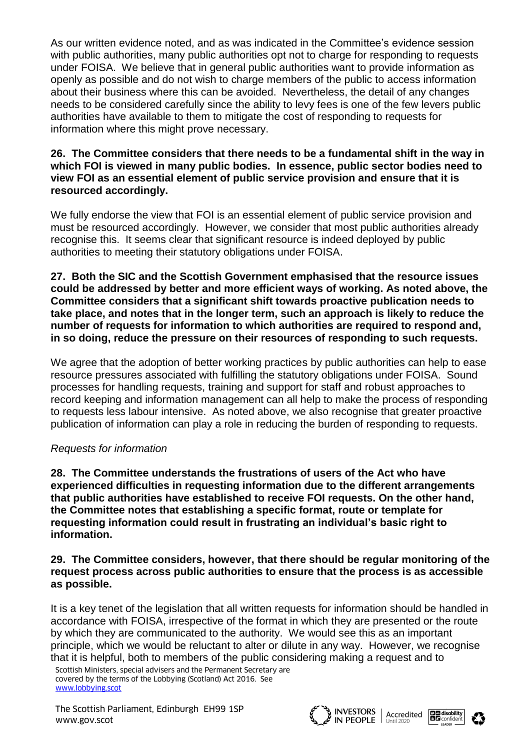As our written evidence noted, and as was indicated in the Committee's evidence session with public authorities, many public authorities opt not to charge for responding to requests under FOISA. We believe that in general public authorities want to provide information as openly as possible and do not wish to charge members of the public to access information about their business where this can be avoided. Nevertheless, the detail of any changes needs to be considered carefully since the ability to levy fees is one of the few levers public authorities have available to them to mitigate the cost of responding to requests for information where this might prove necessary.

### **26. The Committee considers that there needs to be a fundamental shift in the way in which FOI is viewed in many public bodies. In essence, public sector bodies need to view FOI as an essential element of public service provision and ensure that it is resourced accordingly.**

We fully endorse the view that FOI is an essential element of public service provision and must be resourced accordingly. However, we consider that most public authorities already recognise this. It seems clear that significant resource is indeed deployed by public authorities to meeting their statutory obligations under FOISA.

**27. Both the SIC and the Scottish Government emphasised that the resource issues could be addressed by better and more efficient ways of working. As noted above, the Committee considers that a significant shift towards proactive publication needs to take place, and notes that in the longer term, such an approach is likely to reduce the number of requests for information to which authorities are required to respond and, in so doing, reduce the pressure on their resources of responding to such requests.** 

We agree that the adoption of better working practices by public authorities can help to ease resource pressures associated with fulfilling the statutory obligations under FOISA. Sound processes for handling requests, training and support for staff and robust approaches to record keeping and information management can all help to make the process of responding to requests less labour intensive. As noted above, we also recognise that greater proactive publication of information can play a role in reducing the burden of responding to requests.

# *Requests for information*

**28. The Committee understands the frustrations of users of the Act who have experienced difficulties in requesting information due to the different arrangements that public authorities have established to receive FOI requests. On the other hand, the Committee notes that establishing a specific format, route or template for requesting information could result in frustrating an individual's basic right to information.**

#### **29. The Committee considers, however, that there should be regular monitoring of the request process across public authorities to ensure that the process is as accessible as possible.**

It is a key tenet of the legislation that all written requests for information should be handled in accordance with FOISA, irrespective of the format in which they are presented or the route by which they are communicated to the authority. We would see this as an important principle, which we would be reluctant to alter or dilute in any way. However, we recognise that it is helpful, both to members of the public considering making a request and to

Scottish Ministers, special advisers and the Permanent Secretary are covered by the terms of the Lobbying (Scotland) Act 2016. See [www.lobbying.scot](http://www.lobbying.scot/)

The Scottish Parliament, Edinburgh EH99 1SP WESTORS Accredited **BE disability**<br>WWW.gov.scot **BE** confident **CONTRACT WAS Avery Accredited** BE confident



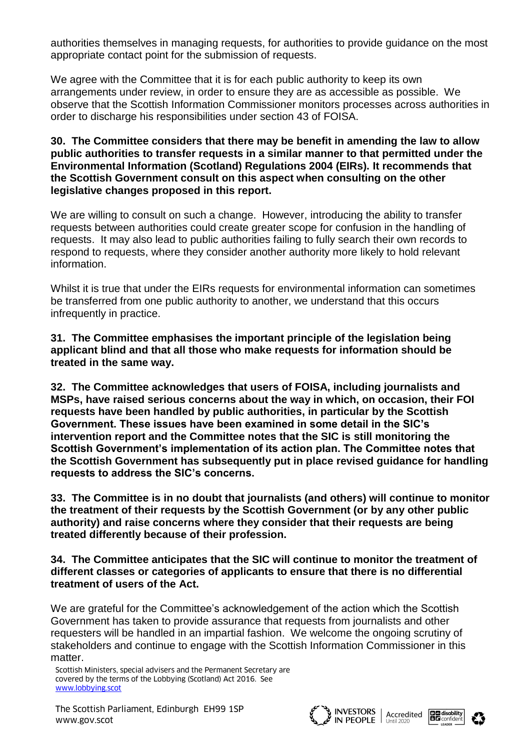authorities themselves in managing requests, for authorities to provide guidance on the most appropriate contact point for the submission of requests.

We agree with the Committee that it is for each public authority to keep its own arrangements under review, in order to ensure they are as accessible as possible. We observe that the Scottish Information Commissioner monitors processes across authorities in order to discharge his responsibilities under section 43 of FOISA.

#### **30. The Committee considers that there may be benefit in amending the law to allow public authorities to transfer requests in a similar manner to that permitted under the Environmental Information (Scotland) Regulations 2004 (EIRs). It recommends that the Scottish Government consult on this aspect when consulting on the other legislative changes proposed in this report.**

We are willing to consult on such a change. However, introducing the ability to transfer requests between authorities could create greater scope for confusion in the handling of requests. It may also lead to public authorities failing to fully search their own records to respond to requests, where they consider another authority more likely to hold relevant information.

Whilst it is true that under the EIRs requests for environmental information can sometimes be transferred from one public authority to another, we understand that this occurs infrequently in practice.

**31. The Committee emphasises the important principle of the legislation being applicant blind and that all those who make requests for information should be treated in the same way.** 

**32. The Committee acknowledges that users of FOISA, including journalists and MSPs, have raised serious concerns about the way in which, on occasion, their FOI requests have been handled by public authorities, in particular by the Scottish Government. These issues have been examined in some detail in the SIC's intervention report and the Committee notes that the SIC is still monitoring the Scottish Government's implementation of its action plan. The Committee notes that the Scottish Government has subsequently put in place revised guidance for handling requests to address the SIC's concerns.** 

**33. The Committee is in no doubt that journalists (and others) will continue to monitor the treatment of their requests by the Scottish Government (or by any other public authority) and raise concerns where they consider that their requests are being treated differently because of their profession.** 

**34. The Committee anticipates that the SIC will continue to monitor the treatment of different classes or categories of applicants to ensure that there is no differential treatment of users of the Act.** 

We are grateful for the Committee's acknowledgement of the action which the Scottish Government has taken to provide assurance that requests from journalists and other requesters will be handled in an impartial fashion. We welcome the ongoing scrutiny of stakeholders and continue to engage with the Scottish Information Commissioner in this matter.





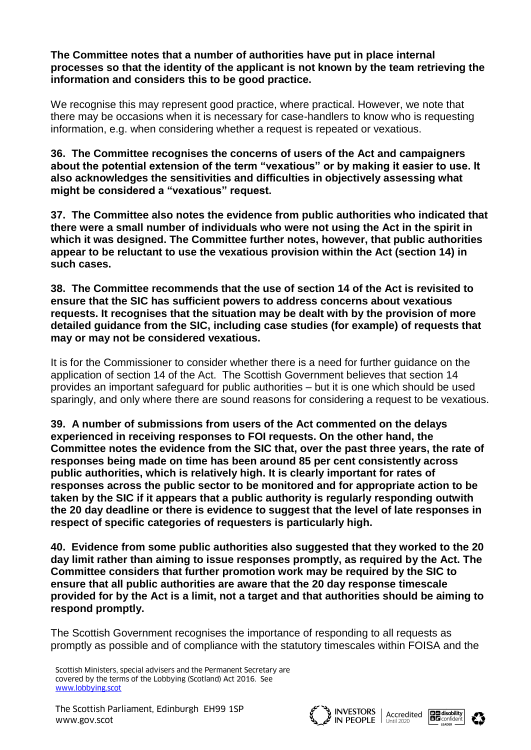**The Committee notes that a number of authorities have put in place internal processes so that the identity of the applicant is not known by the team retrieving the information and considers this to be good practice.**

We recognise this may represent good practice, where practical. However, we note that there may be occasions when it is necessary for case-handlers to know who is requesting information, e.g. when considering whether a request is repeated or vexatious.

**36. The Committee recognises the concerns of users of the Act and campaigners about the potential extension of the term "vexatious" or by making it easier to use. It also acknowledges the sensitivities and difficulties in objectively assessing what might be considered a "vexatious" request.** 

**37. The Committee also notes the evidence from public authorities who indicated that there were a small number of individuals who were not using the Act in the spirit in which it was designed. The Committee further notes, however, that public authorities appear to be reluctant to use the vexatious provision within the Act (section 14) in such cases.** 

**38. The Committee recommends that the use of section 14 of the Act is revisited to ensure that the SIC has sufficient powers to address concerns about vexatious requests. It recognises that the situation may be dealt with by the provision of more detailed guidance from the SIC, including case studies (for example) of requests that may or may not be considered vexatious.**

It is for the Commissioner to consider whether there is a need for further guidance on the application of section 14 of the Act. The Scottish Government believes that section 14 provides an important safeguard for public authorities – but it is one which should be used sparingly, and only where there are sound reasons for considering a request to be vexatious.

**39. A number of submissions from users of the Act commented on the delays experienced in receiving responses to FOI requests. On the other hand, the Committee notes the evidence from the SIC that, over the past three years, the rate of responses being made on time has been around 85 per cent consistently across public authorities, which is relatively high. It is clearly important for rates of responses across the public sector to be monitored and for appropriate action to be taken by the SIC if it appears that a public authority is regularly responding outwith the 20 day deadline or there is evidence to suggest that the level of late responses in respect of specific categories of requesters is particularly high.** 

**40. Evidence from some public authorities also suggested that they worked to the 20 day limit rather than aiming to issue responses promptly, as required by the Act. The Committee considers that further promotion work may be required by the SIC to ensure that all public authorities are aware that the 20 day response timescale provided for by the Act is a limit, not a target and that authorities should be aiming to respond promptly.**

The Scottish Government recognises the importance of responding to all requests as promptly as possible and of compliance with the statutory timescales within FOISA and the





Scottish Ministers, special advisers and the Permanent Secretary are covered by the terms of the Lobbying (Scotland) Act 2016. See [www.lobbying.scot](http://www.lobbying.scot/)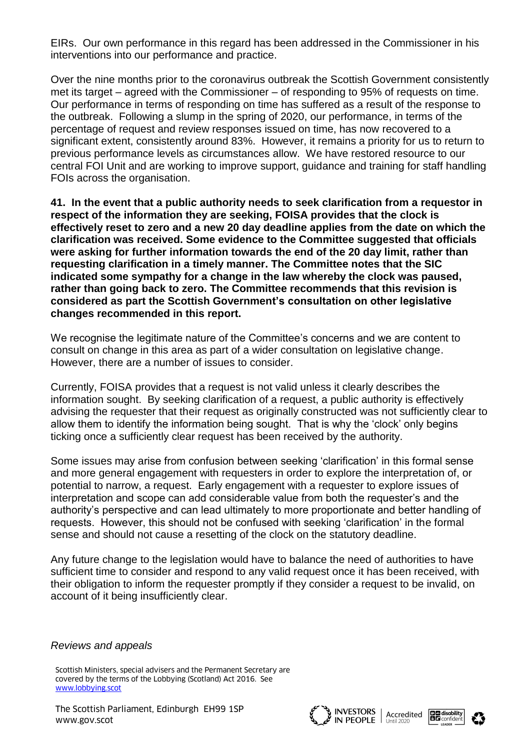EIRs. Our own performance in this regard has been addressed in the Commissioner in his interventions into our performance and practice.

Over the nine months prior to the coronavirus outbreak the Scottish Government consistently met its target – agreed with the Commissioner – of responding to 95% of requests on time. Our performance in terms of responding on time has suffered as a result of the response to the outbreak. Following a slump in the spring of 2020, our performance, in terms of the percentage of request and review responses issued on time, has now recovered to a significant extent, consistently around 83%. However, it remains a priority for us to return to previous performance levels as circumstances allow. We have restored resource to our central FOI Unit and are working to improve support, guidance and training for staff handling FOIs across the organisation.

**41. In the event that a public authority needs to seek clarification from a requestor in respect of the information they are seeking, FOISA provides that the clock is effectively reset to zero and a new 20 day deadline applies from the date on which the clarification was received. Some evidence to the Committee suggested that officials were asking for further information towards the end of the 20 day limit, rather than requesting clarification in a timely manner. The Committee notes that the SIC indicated some sympathy for a change in the law whereby the clock was paused, rather than going back to zero. The Committee recommends that this revision is considered as part the Scottish Government's consultation on other legislative changes recommended in this report.**

We recognise the legitimate nature of the Committee's concerns and we are content to consult on change in this area as part of a wider consultation on legislative change. However, there are a number of issues to consider.

Currently, FOISA provides that a request is not valid unless it clearly describes the information sought. By seeking clarification of a request, a public authority is effectively advising the requester that their request as originally constructed was not sufficiently clear to allow them to identify the information being sought. That is why the 'clock' only begins ticking once a sufficiently clear request has been received by the authority.

Some issues may arise from confusion between seeking 'clarification' in this formal sense and more general engagement with requesters in order to explore the interpretation of, or potential to narrow, a request. Early engagement with a requester to explore issues of interpretation and scope can add considerable value from both the requester's and the authority's perspective and can lead ultimately to more proportionate and better handling of requests. However, this should not be confused with seeking 'clarification' in the formal sense and should not cause a resetting of the clock on the statutory deadline.

Any future change to the legislation would have to balance the need of authorities to have sufficient time to consider and respond to any valid request once it has been received, with their obligation to inform the requester promptly if they consider a request to be invalid, on account of it being insufficiently clear.

#### *Reviews and appeals*

Scottish Ministers, special advisers and the Permanent Secretary are covered by the terms of the Lobbying (Scotland) Act 2016. See [www.lobbying.scot](http://www.lobbying.scot/)





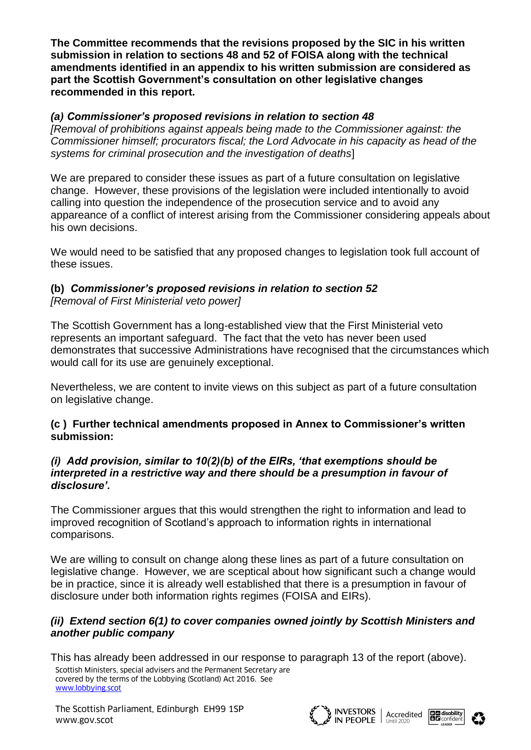**The Committee recommends that the revisions proposed by the SIC in his written submission in relation to sections 48 and 52 of FOISA along with the technical amendments identified in an appendix to his written submission are considered as part the Scottish Government's consultation on other legislative changes recommended in this report.**

## *(a) Commissioner's proposed revisions in relation to section 48*

*[Removal of prohibitions against appeals being made to the Commissioner against: the Commissioner himself; procurators fiscal; the Lord Advocate in his capacity as head of the systems for criminal prosecution and the investigation of deaths*]

We are prepared to consider these issues as part of a future consultation on legislative change. However, these provisions of the legislation were included intentionally to avoid calling into question the independence of the prosecution service and to avoid any appareance of a conflict of interest arising from the Commissioner considering appeals about his own decisions.

We would need to be satisfied that any proposed changes to legislation took full account of these issues.

## **(b)** *Commissioner's proposed revisions in relation to section 52 [Removal of First Ministerial veto power]*

The Scottish Government has a long-established view that the First Ministerial veto represents an important safeguard. The fact that the veto has never been used demonstrates that successive Administrations have recognised that the circumstances which would call for its use are genuinely exceptional.

Nevertheless, we are content to invite views on this subject as part of a future consultation on legislative change.

## **(c ) Further technical amendments proposed in Annex to Commissioner's written submission:**

## *(i) Add provision, similar to 10(2)(b) of the EIRs, 'that exemptions should be interpreted in a restrictive way and there should be a presumption in favour of disclosure'.*

The Commissioner argues that this would strengthen the right to information and lead to improved recognition of Scotland's approach to information rights in international comparisons.

We are willing to consult on change along these lines as part of a future consultation on legislative change. However, we are sceptical about how significant such a change would be in practice, since it is already well established that there is a presumption in favour of disclosure under both information rights regimes (FOISA and EIRs).

## *(ii) Extend section 6(1) to cover companies owned jointly by Scottish Ministers and another public company*

Scottish Ministers, special advisers and the Permanent Secretary are covered by the terms of the Lobbying (Scotland) Act 2016. See [www.lobbying.scot](http://www.lobbying.scot/) This has already been addressed in our response to paragraph 13 of the report (above).



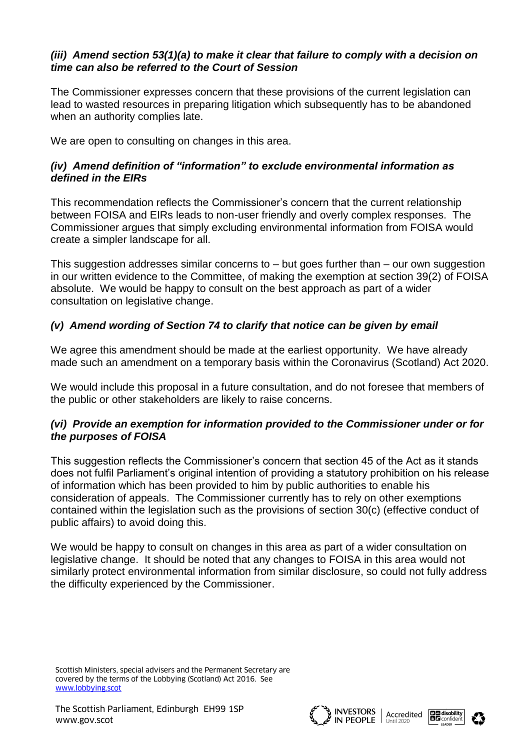## *(iii) Amend section 53(1)(a) to make it clear that failure to comply with a decision on time can also be referred to the Court of Session*

The Commissioner expresses concern that these provisions of the current legislation can lead to wasted resources in preparing litigation which subsequently has to be abandoned when an authority complies late.

We are open to consulting on changes in this area.

## *(iv) Amend definition of "information" to exclude environmental information as defined in the EIRs*

This recommendation reflects the Commissioner's concern that the current relationship between FOISA and EIRs leads to non-user friendly and overly complex responses. The Commissioner argues that simply excluding environmental information from FOISA would create a simpler landscape for all.

This suggestion addresses similar concerns to – but goes further than – our own suggestion in our written evidence to the Committee, of making the exemption at section 39(2) of FOISA absolute. We would be happy to consult on the best approach as part of a wider consultation on legislative change.

# *(v) Amend wording of Section 74 to clarify that notice can be given by email*

We agree this amendment should be made at the earliest opportunity.We have already made such an amendment on a temporary basis within the Coronavirus (Scotland) Act 2020.

We would include this proposal in a future consultation, and do not foresee that members of the public or other stakeholders are likely to raise concerns.

# *(vi) Provide an exemption for information provided to the Commissioner under or for the purposes of FOISA*

This suggestion reflects the Commissioner's concern that section 45 of the Act as it stands does not fulfil Parliament's original intention of providing a statutory prohibition on his release of information which has been provided to him by public authorities to enable his consideration of appeals. The Commissioner currently has to rely on other exemptions contained within the legislation such as the provisions of section 30(c) (effective conduct of public affairs) to avoid doing this.

We would be happy to consult on changes in this area as part of a wider consultation on legislative change. It should be noted that any changes to FOISA in this area would not similarly protect environmental information from similar disclosure, so could not fully address the difficulty experienced by the Commissioner.